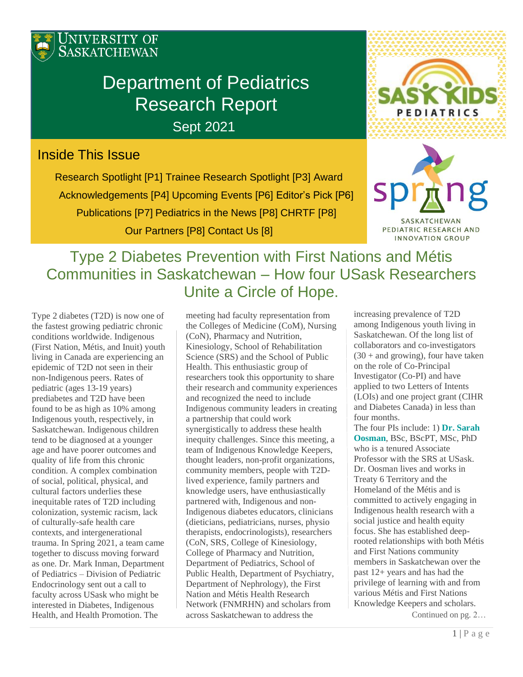

# Department of Pediatrics Research Report

Sept 2021

# Inside This Issue

Research Spotlight [P1] Trainee Research Spotlight [P3] Award Acknowledgements [P4] Upcoming Events [P6] Editor's Pick [P6] Publications [P7] Pediatrics in the News [P8] CHRTF [P8] Our Partners [P8] Contact Us [8]





SASKATCHEWAN PEDIATRIC RESEARCH AND INNOVATION GROUP

# Type 2 Diabetes Prevention with First Nations and Métis Communities in Saskatchewan – How four USask Researchers Unite a Circle of Hope.

Type 2 diabetes (T2D) is now one of the fastest growing pediatric chronic conditions worldwide. Indigenous (First Nation, Métis, and Inuit) youth living in Canada are experiencing an epidemic of T2D not seen in their non-Indigenous peers. Rates of pediatric (ages 13-19 years) prediabetes and T2D have been found to be as high as 10% among Indigenous youth, respectively, in Saskatchewan. Indigenous children tend to be diagnosed at a younger age and have poorer outcomes and quality of life from this chronic condition. A complex combination of social, political, physical, and cultural factors underlies these inequitable rates of T2D including colonization, systemic racism, lack of culturally-safe health care contexts, and intergenerational trauma. In Spring 2021, a team came together to discuss moving forward as one. Dr. Mark Inman, Department of Pediatrics – Division of Pediatric Endocrinology sent out a call to faculty across USask who might be interested in Diabetes, Indigenous Health, and Health Promotion. The

meeting had faculty representation from the Colleges of Medicine (CoM), Nursing (CoN), Pharmacy and Nutrition, Kinesiology, School of Rehabilitation Science (SRS) and the School of Public Health. This enthusiastic group of researchers took this opportunity to share their research and community experiences and recognized the need to include Indigenous community leaders in creating a partnership that could work synergistically to address these health inequity challenges. Since this meeting, a team of Indigenous Knowledge Keepers, thought leaders, non-profit organizations, community members, people with T2Dlived experience, family partners and knowledge users, have enthusiastically partnered with, Indigenous and non-Indigenous diabetes educators, clinicians (dieticians, pediatricians, nurses, physio therapists, endocrinologists), researchers (CoN, SRS, College of Kinesiology, College of Pharmacy and Nutrition, Department of Pediatrics, School of Public Health, Department of Psychiatry, Department of Nephrology), the First Nation and Métis Health Research Network (FNMRHN) and scholars from across Saskatchewan to address the

increasing prevalence of T2D among Indigenous youth living in Saskatchewan. Of the long list of collaborators and co-investigators  $(30 +$  and growing), four have taken on the role of Co-Principal Investigator (Co-PI) and have applied to two Letters of Intents (LOIs) and one project grant (CIHR and Diabetes Canada) in less than four months.

The four PIs include: 1) **Dr. Sarah Oosman**, BSc, BScPT, MSc, PhD who is a tenured Associate Professor with the SRS at USask. Dr. Oosman lives and works in Treaty 6 Territory and the Homeland of the Métis and is committed to actively engaging in Indigenous health research with a social justice and health equity focus. She has established deeprooted relationships with both Métis and First Nations community members in Saskatchewan over the past 12+ years and has had the privilege of learning with and from various Métis and First Nations Knowledge Keepers and scholars.

Continued on pg. 2…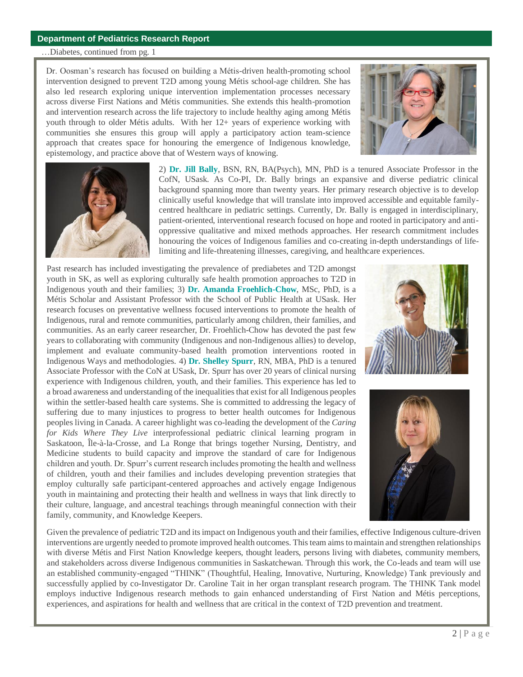#### **Department of Pediatrics Research Report**

…Diabetes, continued from pg. 1

Dr. Oosman's research has focused on building a Métis-driven health-promoting school intervention designed to prevent T2D among young Métis school-age children. She has also led research exploring unique intervention implementation processes necessary across diverse First Nations and Métis communities. She extends this health-promotion and intervention research across the life trajectory to include healthy aging among Métis youth through to older Métis adults. With her 12+ years of experience working with communities she ensures this group will apply a participatory action team-science approach that creates space for honouring the emergence of Indigenous knowledge, epistemology, and practice above that of Western ways of knowing.





2) **Dr. Jill Bally**, BSN, RN, BA(Psych), MN, PhD is a tenured Associate Professor in the CofN, USask. As Co-PI, Dr. Bally brings an expansive and diverse pediatric clinical background spanning more than twenty years. Her primary research objective is to develop clinically useful knowledge that will translate into improved accessible and equitable familycentred healthcare in pediatric settings. Currently, Dr. Bally is engaged in interdisciplinary, patient-oriented, interventional research focused on hope and rooted in participatory and antioppressive qualitative and mixed methods approaches. Her research commitment includes honouring the voices of Indigenous families and co-creating in-depth understandings of lifelimiting and life-threatening illnesses, caregiving, and healthcare experiences.

Past research has included investigating the prevalence of prediabetes and T2D amongst youth in SK, as well as exploring culturally safe health promotion approaches to T2D in Indigenous youth and their families; 3) **Dr. Amanda Froehlich-Chow**, MSc, PhD, is a Métis Scholar and Assistant Professor with the School of Public Health at USask. Her research focuses on preventative wellness focused interventions to promote the health of Indigenous, rural and remote communities, particularly among children, their families, and communities. As an early career researcher, Dr. Froehlich-Chow has devoted the past few years to collaborating with community (Indigenous and non-Indigenous allies) to develop, implement and evaluate community-based health promotion interventions rooted in Indigenous Ways and methodologies. 4) **Dr. Shelley Spurr**, RN, MBA, PhD is a tenured Associate Professor with the CoN at USask, Dr. Spurr has over 20 years of clinical nursing experience with Indigenous children, youth, and their families. This experience has led to a broad awareness and understanding of the inequalities that exist for all Indigenous peoples within the settler-based health care systems. She is committed to addressing the legacy of suffering due to many injustices to progress to better health outcomes for Indigenous peoples living in Canada. A career highlight was co-leading the development of the *Caring for Kids Where They Live* interprofessional pediatric clinical learning program in Saskatoon, Île-à-la-Crosse, and La Ronge that brings together Nursing, Dentistry, and Medicine students to build capacity and improve the standard of care for Indigenous children and youth. Dr. Spurr's current research includes promoting the health and wellness of children, youth and their families and includes developing prevention strategies that employ culturally safe participant-centered approaches and actively engage Indigenous youth in maintaining and protecting their health and wellness in ways that link directly to their culture, language, and ancestral teachings through meaningful connection with their family, community, and Knowledge Keepers.





Given the prevalence of pediatric T2D and its impact on Indigenous youth and their families, effective Indigenous culture-driven interventions are urgently needed to promote improved health outcomes. This team aims to maintain and strengthen relationships with diverse Métis and First Nation Knowledge keepers, thought leaders, persons living with diabetes, community members, and stakeholders across diverse Indigenous communities in Saskatchewan. Through this work, the Co-leads and team will use an established community-engaged "THINK" (Thoughtful, Healing, Innovative, Nurturing, Knowledge) Tank previously and successfully applied by co-Investigator Dr. Caroline Tait in her organ transplant research program. The THINK Tank model employs inductive Indigenous research methods to gain enhanced understanding of First Nation and Métis perceptions, experiences, and aspirations for health and wellness that are critical in the context of T2D prevention and treatment.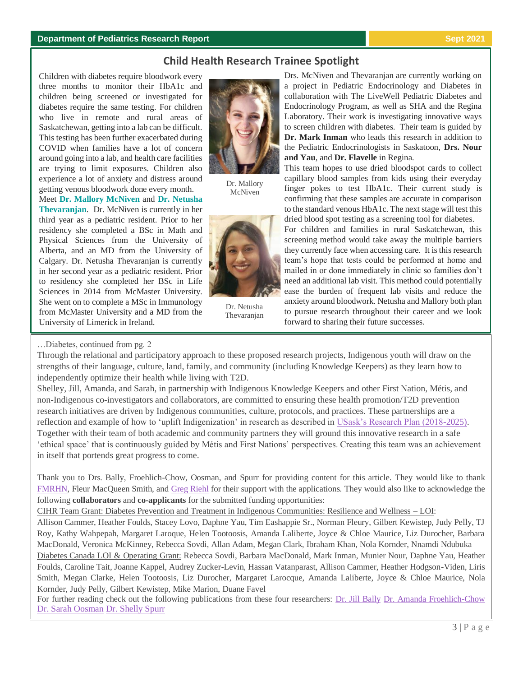#### **Department of Pediatrics Research Report Sept 2021**

# **Child Health Research Trainee Spotlight**

Children with diabetes require bloodwork every three months to monitor their HbA1c and children being screened or investigated for diabetes require the same testing. For children who live in remote and rural areas of Saskatchewan, getting into a lab can be difficult. This testing has been further exacerbated during COVID when families have a lot of concern around going into a lab, and health care facilities are trying to limit exposures. Children also experience a lot of anxiety and distress around getting venous bloodwork done every month.

Meet **Dr. Mallory McNiven** and **Dr. Netusha Thevaranjan**. Dr. McNiven is currently in her third year as a pediatric resident. Prior to her residency she completed a BSc in Math and Physical Sciences from the University of Alberta, and an MD from the University of Calgary. Dr. Netusha Thevaranjan is currently in her second year as a pediatric resident. Prior to residency she completed her BSc in Life Sciences in 2014 from McMaster University. She went on to complete a MSc in Immunology from McMaster University and a MD from the University of Limerick in Ireland.



Dr. Mallory McNiven



Dr. Netusha Thevaranjan

Drs. McNiven and Thevaranjan are currently working on a project in Pediatric Endocrinology and Diabetes in collaboration with The LiveWell Pediatric Diabetes and Endocrinology Program, as well as SHA and the Regina Laboratory. Their work is investigating innovative ways to screen children with diabetes. Their team is guided by **Dr. Mark Inman** who leads this research in addition to the Pediatric Endocrinologists in Saskatoon, **Drs. Nour and Yau**, and **Dr. Flavelle** in Regina.

This team hopes to use dried bloodspot cards to collect capillary blood samples from kids using their everyday finger pokes to test HbA1c. Their current study is confirming that these samples are accurate in comparison to the standard venous HbA1c. The next stage will test this dried blood spot testing as a screening tool for diabetes.

For children and families in rural Saskatchewan, this screening method would take away the multiple barriers they currently face when accessing care. It is this research team's hope that tests could be performed at home and mailed in or done immediately in clinic so families don't need an additional lab visit. This method could potentially ease the burden of frequent lab visits and reduce the anxiety around bloodwork. Netusha and Mallory both plan to pursue research throughout their career and we look forward to sharing their future successes.

…Diabetes, continued from pg. 2

Through the relational and participatory approach to these proposed research projects, Indigenous youth will draw on the strengths of their language, culture, land, family, and community (including Knowledge Keepers) as they learn how to independently optimize their health while living with T2D.

Shelley, Jill, Amanda, and Sarah, in partnership with Indigenous Knowledge Keepers and other First Nation, Métis, and non-Indigenous co-investigators and collaborators, are committed to ensuring these health promotion/T2D prevention research initiatives are driven by Indigenous communities, culture, protocols, and practices. These partnerships are a reflection and example of how to 'uplift Indigenization' in research as described in [USask's Research Plan \(2018-2025\).](https://vpresearch.usask.ca/about-us/our-vision,-strategic-plans-and-initiatives1/research-plan-2018-2025.php#1InstitutionalFortitude) Together with their team of both academic and community partners they will ground this innovative research in a safe 'ethical space' that is continuously guided by Métis and First Nations' perspectives. Creating this team was an achievement in itself that portends great progress to come.

Thank you to Drs. Bally, Froehlich-Chow, Oosman, and Spurr for providing content for this article. They would like to thank [FMRHN,](https://research-groups.usask.ca/fmhrn/) Fleur MacQueen Smith, and [Greg Riehl](https://research-groups.usask.ca/neihrcoordcentre/profiles/greg-riehl.php) for their support with the applications. They would also like to acknowledge the following **collaborators** and **co-applicants** for the submitted funding opportunities:

CIHR Team Grant: Diabetes Prevention and Treatment in Indigenous Communities: Resilience and Wellness – LOI:

Allison Cammer, Heather Foulds, Stacey Lovo, Daphne Yau, Tim Eashappie Sr., Norman Fleury, Gilbert Kewistep, Judy Pelly, TJ Roy, Kathy Wahpepah, Margaret Laroque, Helen Tootoosis, Amanda Laliberte, Joyce & Chloe Maurice, Liz Durocher, Barbara MacDonald, Veronica McKinney, Rebecca Sovdi, Allan Adam, Megan Clark, Ibraham Khan, Nola Kornder, Nnamdi Ndubuka Diabetes Canada LOI & Operating Grant: Rebecca Sovdi, Barbara MacDonald, Mark Inman, Munier Nour, Daphne Yau, Heather Foulds, Caroline Tait, Joanne Kappel, Audrey Zucker-Levin, Hassan Vatanparast, Allison Cammer, Heather Hodgson-Viden, Liris Smith, Megan Clarke, Helen Tootoosis, Liz Durocher, Margaret Larocque, Amanda Laliberte, Joyce & Chloe Maurice, Nola Kornder, Judy Pelly, Gilbert Kewistep, Mike Marion, Duane Favel

For further reading check out the following publications from these four researchers: [Dr. Jill Bally](https://nursing.usask.ca/people/jill-bally.php) [Dr. Amanda Froehlich-Chow](https://sph.usask.ca/people/faculty-profiles/amanda-froehlich-chow.php#RecentPublications) [Dr. Sarah Oosman](https://scholar.google.ca/citations?user=WcxbNg8AAAAJ&hl=en) [Dr. Shelly Spurr](https://nursing.usask.ca/people/shelley-spurr.php)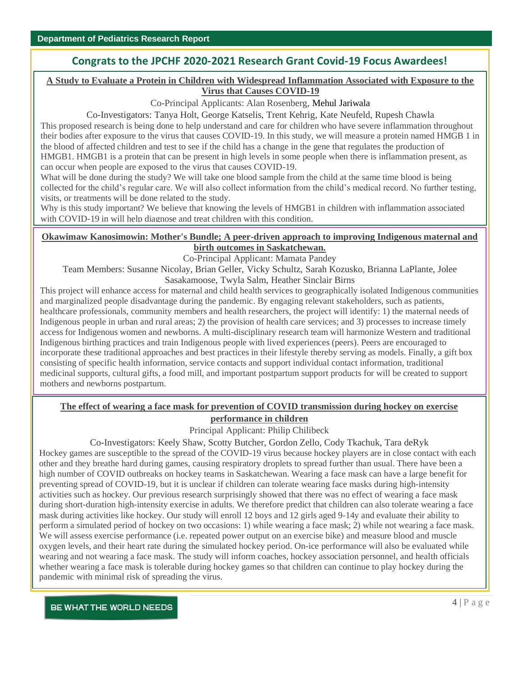# **Congrats to the JPCHF 2020-2021 Research Grant Covid-19 Focus Awardees!**

### **A Study to Evaluate a Protein in Children with Widespread Inflammation Associated with Exposure to the Virus that Causes COVID-19**

Co-Principal Applicants: Alan Rosenberg, Mehul Jariwala

Co-Investigators: Tanya Holt, George Katselis, Trent Kehrig, Kate Neufeld, Rupesh Chawla

This proposed research is being done to help understand and care for children who have severe inflammation throughout their bodies after exposure to the virus that causes COVID-19. In this study, we will measure a protein named HMGB 1 in the blood of affected children and test to see if the child has a change in the gene that regulates the production of HMGB1. HMGB1 is a protein that can be present in high levels in some people when there is inflammation present, as can occur when people are exposed to the virus that causes COVID-19.

What will be done during the study? We will take one blood sample from the child at the same time blood is being collected for the child's regular care. We will also collect information from the child's medical record. No further testing, visits, or treatments will be done related to the study.

Why is this study important? We believe that knowing the levels of HMGB1 in children with inflammation associated with COVID-19 in will help diagnose and treat children with this condition.

### **Okawimaw Kanosimowin: Mother's Bundle; A peer-driven approach to improving Indigenous maternal and birth outcomes in Saskatchewan.**

Co-Principal Applicant: Mamata Pandey

Team Members: Susanne Nicolay, Brian Geller, Vicky Schultz, Sarah Kozusko, Brianna LaPlante, Jolee Sasakamoose, Twyla Salm, Heather Sinclair Birns

This project will enhance access for maternal and child health services to geographically isolated Indigenous communities and marginalized people disadvantage during the pandemic. By engaging relevant stakeholders, such as patients, healthcare professionals, community members and health researchers, the project will identify: 1) the maternal needs of Indigenous people in urban and rural areas; 2) the provision of health care services; and 3) processes to increase timely access for Indigenous women and newborns. A multi-disciplinary research team will harmonize Western and traditional Indigenous birthing practices and train Indigenous people with lived experiences (peers). Peers are encouraged to incorporate these traditional approaches and best practices in their lifestyle thereby serving as models. Finally, a gift box consisting of specific health information, service contacts and support individual contact information, traditional medicinal supports, cultural gifts, a food mill, and important postpartum support products for will be created to support mothers and newborns postpartum.

# **The effect of wearing a face mask for prevention of COVID transmission during hockey on exercise performance in children**

Principal Applicant: Philip Chilibeck

Co-Investigators: Keely Shaw, Scotty Butcher, Gordon Zello, Cody Tkachuk, Tara deRyk

Hockey games are susceptible to the spread of the COVID-19 virus because hockey players are in close contact with each other and they breathe hard during games, causing respiratory droplets to spread further than usual. There have been a high number of COVID outbreaks on hockey teams in Saskatchewan. Wearing a face mask can have a large benefit for preventing spread of COVID-19, but it is unclear if children can tolerate wearing face masks during high-intensity activities such as hockey. Our previous research surprisingly showed that there was no effect of wearing a face mask during short-duration high-intensity exercise in adults. We therefore predict that children can also tolerate wearing a face mask during activities like hockey. Our study will enroll 12 boys and 12 girls aged 9-14y and evaluate their ability to perform a simulated period of hockey on two occasions: 1) while wearing a face mask; 2) while not wearing a face mask. We will assess exercise performance (i.e. repeated power output on an exercise bike) and measure blood and muscle oxygen levels, and their heart rate during the simulated hockey period. On-ice performance will also be evaluated while wearing and not wearing a face mask. The study will inform coaches, hockey association personnel, and health officials whether wearing a face mask is tolerable during hockey games so that children can continue to play hockey during the pandemic with minimal risk of spreading the virus.

BE WHAT THE WORLD NEEDS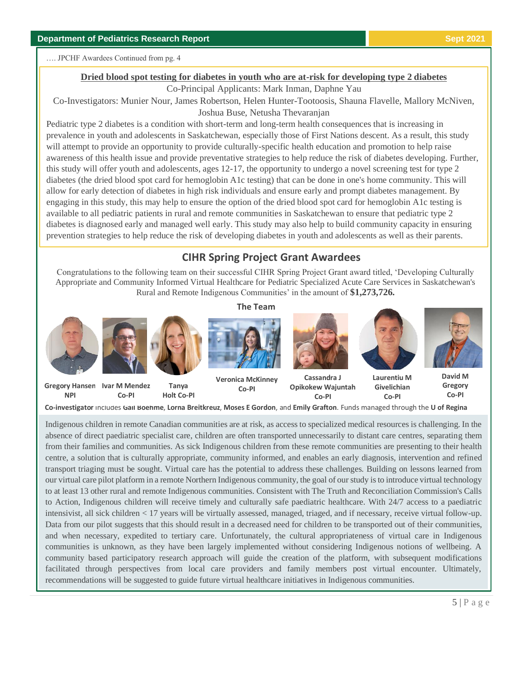…. JPCHF Awardees Continued from pg. 4

#### **Dried blood spot testing for diabetes in youth who are at-risk for developing type 2 diabetes**

Co-Principal Applicants: Mark Inman, Daphne Yau

Co-Investigators: Munier Nour, James Robertson, Helen Hunter-Tootoosis, Shauna Flavelle, Mallory McNiven, Joshua Buse, Netusha Thevaranjan

Pediatric type 2 diabetes is a condition with short-term and long-term health consequences that is increasing in prevalence in youth and adolescents in Saskatchewan, especially those of First Nations descent. As a result, this study will attempt to provide an opportunity to provide culturally-specific health education and promotion to help raise awareness of this health issue and provide preventative strategies to help reduce the risk of diabetes developing. Further, this study will offer youth and adolescents, ages 12-17, the opportunity to undergo a novel screening test for type 2 diabetes (the dried blood spot card for hemoglobin A1c testing) that can be done in one's home community. This will allow for early detection of diabetes in high risk individuals and ensure early and prompt diabetes management. By engaging in this study, this may help to ensure the option of the dried blood spot card for hemoglobin A1c testing is available to all pediatric patients in rural and remote communities in Saskatchewan to ensure that pediatric type 2 diabetes is diagnosed early and managed well early. This study may also help to build community capacity in ensuring prevention strategies to help reduce the risk of developing diabetes in youth and adolescents as well as their parents.

# **CIHR Spring Project Grant Awardees**

Congratulations to the following team on their successful CIHR Spring Project Grant award titled, 'Developing Culturally Appropriate and Community Informed Virtual Healthcare for Pediatric Specialized Acute Care Services in Saskatchewan's Rural and Remote Indigenous Communities' in the amount of **\$1,273,726.**

**The Team**



**Co-investigator** includes **Gail Boehme**, **Lorna Breitkreuz**, **Moses E Gordon**, and **Emily Grafton**. Funds managed through the **U of Regina**

Indigenous children in remote Canadian communities are at risk, as access to specialized medical resources is challenging. In the absence of direct paediatric specialist care, children are often transported unnecessarily to distant care centres, separating them from their families and communities. As sick Indigenous children from these remote communities are presenting to their health centre, a solution that is culturally appropriate, community informed, and enables an early diagnosis, intervention and refined transport triaging must be sought. Virtual care has the potential to address these challenges. Building on lessons learned from our virtual care pilot platform in a remote Northern Indigenous community, the goal of our study is to introduce virtual technology to at least 13 other rural and remote Indigenous communities. Consistent with The Truth and Reconciliation Commission's Calls to Action, Indigenous children will receive timely and culturally safe paediatric healthcare. With 24/7 access to a paediatric intensivist, all sick children < 17 years will be virtually assessed, managed, triaged, and if necessary, receive virtual follow-up. Data from our pilot suggests that this should result in a decreased need for children to be transported out of their communities, and when necessary, expedited to tertiary care. Unfortunately, the cultural appropriateness of virtual care in Indigenous communities is unknown, as they have been largely implemented without considering Indigenous notions of wellbeing. A community based participatory research approach will guide the creation of the platform, with subsequent modifications facilitated through perspectives from local care providers and family members post virtual encounter. Ultimately, recommendations will be suggested to guide future virtual healthcare initiatives in Indigenous communities.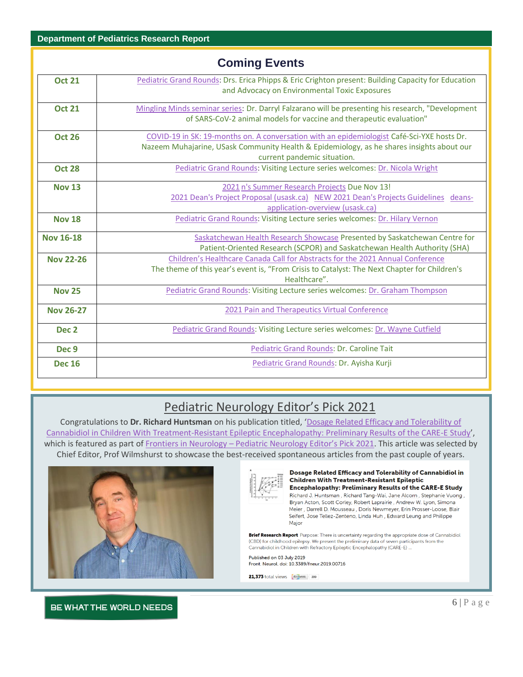|                  | <b>Coming Events</b>                                                                                                                                                                                                   |
|------------------|------------------------------------------------------------------------------------------------------------------------------------------------------------------------------------------------------------------------|
| <b>Oct 21</b>    | Pediatric Grand Rounds: Drs. Erica Phipps & Eric Crighton present: Building Capacity for Education<br>and Advocacy on Environmental Toxic Exposures                                                                    |
| <b>Oct 21</b>    | Mingling Minds seminar series: Dr. Darryl Falzarano will be presenting his research, "Development<br>of SARS-CoV-2 animal models for vaccine and therapeutic evaluation"                                               |
| <b>Oct 26</b>    | COVID-19 in SK: 19-months on. A conversation with an epidemiologist Café-Sci-YXE hosts Dr.<br>Nazeem Muhajarine, USask Community Health & Epidemiology, as he shares insights about our<br>current pandemic situation. |
| <b>Oct 28</b>    | Pediatric Grand Rounds: Visiting Lecture series welcomes: Dr. Nicola Wright                                                                                                                                            |
| <b>Nov 13</b>    | 2021 n's Summer Research Projects Due Nov 13!<br>2021 Dean's Project Proposal (usask.ca) NEW 2021 Dean's Projects Guidelines deans-<br>application-overview (usask.ca)                                                 |
| <b>Nov 18</b>    | Pediatric Grand Rounds: Visiting Lecture series welcomes: Dr. Hilary Vernon                                                                                                                                            |
| <b>Nov 16-18</b> | Saskatchewan Health Research Showcase Presented by Saskatchewan Centre for<br>Patient-Oriented Research (SCPOR) and Saskatchewan Health Authority (SHA)                                                                |
| <b>Nov 22-26</b> | Children's Healthcare Canada Call for Abstracts for the 2021 Annual Conference<br>The theme of this year's event is, "From Crisis to Catalyst: The Next Chapter for Children's<br>Healthcare".                         |
| <b>Nov 25</b>    | Pediatric Grand Rounds: Visiting Lecture series welcomes: Dr. Graham Thompson                                                                                                                                          |
| <b>Nov 26-27</b> | 2021 Pain and Therapeutics Virtual Conference                                                                                                                                                                          |
| Dec <sub>2</sub> | Pediatric Grand Rounds: Visiting Lecture series welcomes: Dr. Wayne Cutfield                                                                                                                                           |
| Dec <sub>9</sub> | Pediatric Grand Rounds: Dr. Caroline Tait                                                                                                                                                                              |
| <b>Dec 16</b>    | Pediatric Grand Rounds: Dr. Ayisha Kurji                                                                                                                                                                               |

# Pediatric Neurology Editor's Pick 2021

Congratulations to **Dr. Richard Huntsman** on his publication titled, '[Dosage Related Efficacy and Tolerability of](https://www.frontiersin.org/articles/10.3389/fneur.2019.00716/full)  20212021[Cannabidiol in Children With Treatment-Resistant Epileptic Encephalopathy: Preliminary Results of the CARE-E Study](https://www.frontiersin.org/articles/10.3389/fneur.2019.00716/full)', which is featured as part of Frontiers in Neurology - [Pediatric Neurology Editor's Pick 2021](https://www.frontiersin.org/research-topics/23287/pediatric-neurology-editors-pick-2021). This article was selected by Chief Editor, Prof Wilmshurst to showcase the best-received spontaneous articles from the past couple of years.





#### Dosage Related Efficacy and Tolerability of Cannabidiol in **Children With Treatment-Resistant Epileptic Encephalopathy: Preliminary Results of the CARE-E Study** Richard J. Huntsman, Richard Tang-Wai, Jane Alcorn, Stephanie Vuong,

Bryan Acton, Scott Corley, Robert Laprairie, Andrew W. Lyon, Simona Meier, Darrell D. Mousseau, Doris Newmeyer, Erin Prosser-Loose, Blair Seifert, Jose Tellez-Zenteno, Linda Huh., Edward Leung and Philippe Major

Brief Research Report Purpose: There is uncertainty regarding the appropriate dose of Cannabidiol (CBD) for childhood epilepsy. We present the preliminary data of seven participants from the Cannabidiol in Children with Refractory Epileptic Encephalopathy (CARE-E) ...

Published on 03 July 2019 Front. Neurol. doi: 10.3389/fneur.2019.00716

21,373 total views **Altmetric** 209

### BE WHAT THE WORLD NEEDS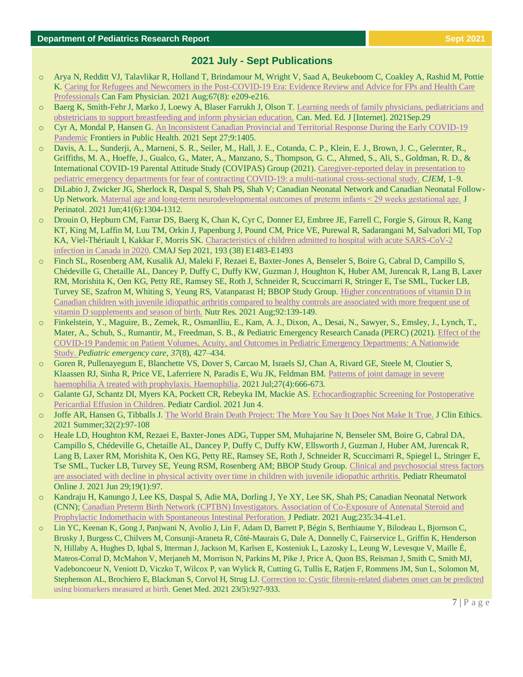# **2021 July - Sept Publications**

- o Arya N, Redditt VJ, Talavlikar R, Holland T, Brindamour M, Wright V, Saad A, Beukeboom C, Coakley A, Rashid M, Pottie K. [Caring for Refugees and Newcomers in the Post-COVID-19 Era: Evidence Review and Advice for FPs and Health Care](https://pubmed.ncbi.nlm.nih.gov/34385214/)  [Professionals](https://pubmed.ncbi.nlm.nih.gov/34385214/) Can Fam Physician. 2021 Aug;67(8): e209-e216.
- o Baerg K, Smith-Fehr J, Marko J, Loewy A, Blaser Farrukh J, Olson T. [Learning needs of family physicians, pediatricians and](https://journalhosting.ucalgary.ca/index.php/cmej/article/view/70049#.YVSrVeuNmFM.twitter)  [obstetricians to support breastfeeding and inform physician education.](https://journalhosting.ucalgary.ca/index.php/cmej/article/view/70049#.YVSrVeuNmFM.twitter) Can. Med. Ed. J [Internet]. 2021Sep.29
- o Cyr A, Mondal P, Hansen G. [An Inconsistent Canadian Provincial and Territorial Response During the Early COVID-19](https://www.frontiersin.org/articles/10.3389/fpubh.2021.708903/full)  [Pandemic](https://www.frontiersin.org/articles/10.3389/fpubh.2021.708903/full) Frontiers in Public Health. 2021 Sept 27;9:1405.
- o Davis, A. L., Sunderji, A., Marneni, S. R., Seiler, M., Hall, J. E., Cotanda, C. P., Klein, E. J., Brown, J. C., Gelernter, R., Griffiths, M. A., Hoeffe, J., Gualco, G., Mater, A., Manzano, S., Thompson, G. C., Ahmed, S., Ali, S., Goldman, R. D., & International COVID-19 Parental Attitude Study (COVIPAS) Group (2021)[. Caregiver-reported delay in presentation to](https://www.ncbi.nlm.nih.gov/pmc/articles/PMC8366744/)  [pediatric emergency departments for fear of contracting COVID-19: a multi-national cross-sectional study.](https://www.ncbi.nlm.nih.gov/pmc/articles/PMC8366744/) *CJEM*, 1–9.
- o DiLabio J, Zwicker JG, Sherlock R, Daspal S, Shah PS, Shah V; Canadian Neonatal Network and Canadian Neonatal Follow-Up Network. Maternal age and long-term neurodevelopmental outcomes of preterm infants < 29 weeks gestational age. J Perinatol. 2021 Jun;41(6):1304-1312.
- o Drouin O, Hepburn CM, Farrar DS, Baerg K, Chan K, Cyr C, Donner EJ, Embree JE, Farrell C, Forgie S, Giroux R, Kang KT, King M, Laffin M, Luu TM, Orkin J, Papenburg J, Pound CM, Price VE, Purewal R, Sadarangani M, Salvadori MI, Top KA, Viel-Thériault I, Kakkar F, Morris SK. [Characteristics of children admitted to hospital with acute SARS-CoV-2](https://www.cmaj.ca/content/193/38/E1483)  [infection in Canada in 2020.](https://www.cmaj.ca/content/193/38/E1483) CMAJ Sep 2021, 193 (38) E1483-E1493
- o Finch SL, Rosenberg AM, Kusalik AJ, Maleki F, Rezaei E, Baxter-Jones A, Benseler S, Boire G, Cabral D, Campillo S, Chédeville G, Chetaille AL, Dancey P, Duffy C, Duffy KW, Guzman J, Houghton K, Huber AM, Jurencak R, Lang B, Laxer RM, Morishita K, Oen KG, Petty RE, Ramsey SE, Roth J, Schneider R, Scuccimarri R, Stringer E, Tse SML, Tucker LB, Turvey SE, Szafron M, Whiting S, Yeung RS, Vatanparast H; BBOP Study Group. [Higher concentrations of vitamin D in](https://pubmed.ncbi.nlm.nih.gov/34311227/)  [Canadian children with juvenile idiopathic arthritis compared to healthy controls are associated with more frequent use of](https://pubmed.ncbi.nlm.nih.gov/34311227/)  [vitamin D supplements and season of birth.](https://pubmed.ncbi.nlm.nih.gov/34311227/) Nutr Res. 2021 Aug;92:139-149.
- o Finkelstein, Y., Maguire, B., Zemek, R., Osmanlliu, E., Kam, A. J., Dixon, A., Desai, N., Sawyer, S., Emsley, J., Lynch, T., Mater, A., Schuh, S., Rumantir, M., Freedman, S. B., & Pediatric Emergency Research Canada (PERC) (2021)[. Effect of the](https://www.ncbi.nlm.nih.gov/pmc/articles/PMC8327936/)  [COVID-19 Pandemic on Patient Volumes, Acuity, and Outcomes in Pediatric Emergency Departments: A Nationwide](https://www.ncbi.nlm.nih.gov/pmc/articles/PMC8327936/)  [Study.](https://www.ncbi.nlm.nih.gov/pmc/articles/PMC8327936/) *Pediatric emergency care*, *37*(8), 427–434.
- o Goren R, Pullenayegum E, Blanchette VS, Dover S, Carcao M, Israels SJ, Chan A, Rivard GE, Steele M, Cloutier S, Klaassen RJ, Sinha R, Price VE, Laferriere N, Paradis E, Wu JK, Feldman BM. [Patterns of joint damage in severe](https://pubmed.ncbi.nlm.nih.gov/34015166/)  [haemophilia A treated with prophylaxis. Haemophilia.](https://pubmed.ncbi.nlm.nih.gov/34015166/) 2021 Jul;27(4):666-673.
- o Galante GJ, Schantz DI, Myers KA, Pockett CR, Rebeyka IM, Mackie AS. [Echocardiographic Screening for Postoperative](https://pubmed.ncbi.nlm.nih.gov/34086097/)  [Pericardial Effusion in Children.](https://pubmed.ncbi.nlm.nih.gov/34086097/) Pediatr Cardiol. 2021 Jun 4.
- o Joffe AR, Hansen G, Tibballs J. [The World Brain Death Project: The More You Say It Does Not Make It True.](https://pubmed.ncbi.nlm.nih.gov/34129525/) J Clin Ethics. 2021 Summer;32(2):97-108
- o Heale LD, Houghton KM, Rezaei E, Baxter-Jones ADG, Tupper SM, Muhajarine N, Benseler SM, Boire G, Cabral DA, Campillo S, Chédeville G, Chetaille AL, Dancey P, Duffy C, Duffy KW, Ellsworth J, Guzman J, Huber AM, Jurencak R, Lang B, Laxer RM, Morishita K, Oen KG, Petty RE, Ramsey SE, Roth J, Schneider R, Scuccimarri R, Spiegel L, Stringer E, Tse SML, Tucker LB, Turvey SE, Yeung RSM, Rosenberg AM; BBOP Study Group. [Clinical and psychosocial stress factors](https://pubmed.ncbi.nlm.nih.gov/34187498/)  [are associated with decline in physical activity over time in children with juvenile idiopathic arthritis.](https://pubmed.ncbi.nlm.nih.gov/34187498/) Pediatr Rheumatol Online J. 2021 Jun 29;19(1):97.
- o Kandraju H, Kanungo J, Lee KS, Daspal S, Adie MA, Dorling J, Ye XY, Lee SK, Shah PS; Canadian Neonatal Network (CNN); [Canadian Preterm Birth Network \(CPTBN\) Investigators. Association of Co-Exposure of Antenatal Steroid and](https://pubmed.ncbi.nlm.nih.gov/33741365/)  [Prophylactic Indomethacin with Spontaneous](https://pubmed.ncbi.nlm.nih.gov/33741365/) Intestinal Perforation. J Pediatr. 2021 Aug;235:34-41.e1.
- o Lin YC, Keenan K, Gong J, Panjwani N, Avolio J, Lin F, Adam D, Barrett P, Bégin S, Berthiaume Y, Bilodeau L, Bjornson C, Brusky J, Burgess C, Chilvers M, Consunji-Araneta R, Côté-Maurais G, Dale A, Donnelly C, Fairservice L, Griffin K, Henderson N, Hillaby A, Hughes D, Iqbal S, Itterman J, Jackson M, Karlsen E, Kosteniuk L, Lazosky L, Leung W, Levesque V, Maille É, Mateos-Corral D, McMahon V, Merjaneh M, Morrison N, Parkins M, Pike J, Price A, Quon BS, Reisman J, Smith C, Smith MJ, Vadeboncoeur N, Veniott D, Viczko T, Wilcox P, van Wylick R, Cutting G, Tullis E, Ratjen F, Rommens JM, Sun L, Solomon M, Stephenson AL, Brochiero E, Blackman S, Corvol H, Strug LJ[. Correction to: Cystic fibrosis-related diabetes onset can be predicted](https://pubmed.ncbi.nlm.nih.gov/34389817/)  [using biomarkers measured at birth.](https://pubmed.ncbi.nlm.nih.gov/34389817/) Genet Med. 2021 23(5):927-933.